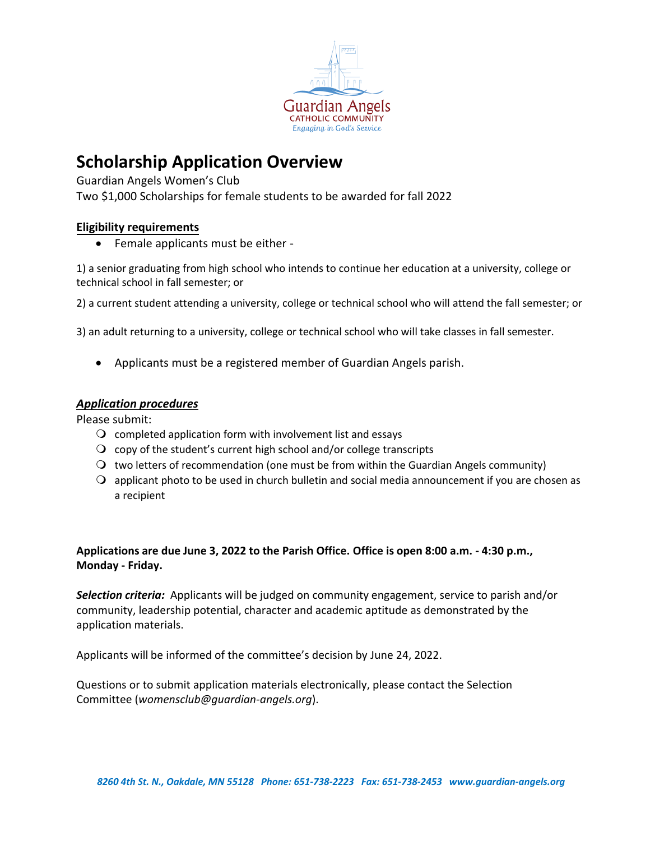

## **Scholarship Application Overview**

Guardian Angels Women's Club Two \$1,000 Scholarships for female students to be awarded for fall 2022

### **Eligibility requirements**

• Female applicants must be either -

1) a senior graduating from high school who intends to continue her education at a university, college or technical school in fall semester; or

2) a current student attending a university, college or technical school who will attend the fall semester; or

3) an adult returning to a university, college or technical school who will take classes in fall semester.

Applicants must be a registered member of Guardian Angels parish.

#### *Application procedures*

Please submit:

- $\Omega$  completed application form with involvement list and essays
- $\Omega$  copy of the student's current high school and/or college transcripts
- $\bigcirc$  two letters of recommendation (one must be from within the Guardian Angels community)
- $\Omega$  applicant photo to be used in church bulletin and social media announcement if you are chosen as a recipient

### **Applications are due June 3, 2022 to the Parish Office. Office is open 8:00 a.m. - 4:30 p.m., Monday - Friday.**

*Selection criteria:* Applicants will be judged on community engagement, service to parish and/or community, leadership potential, character and academic aptitude as demonstrated by the application materials.

Applicants will be informed of the committee's decision by June 24, 2022.

Questions or to submit application materials electronically, please contact the Selection Committee (*womensclub@guardian-angels.org*).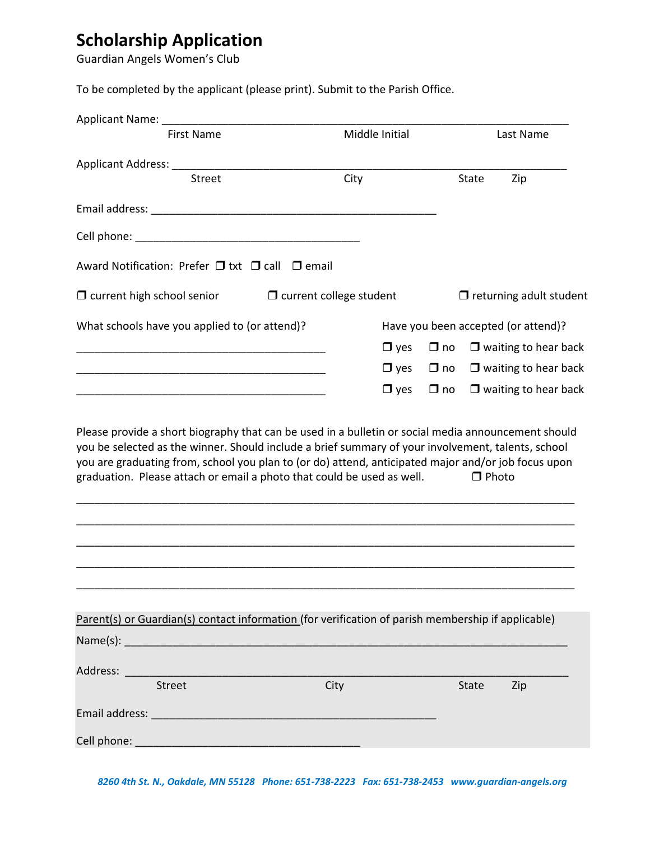# **Scholarship Application**

Guardian Angels Women's Club

To be completed by the applicant (please print). Submit to the Parish Office.

| <b>First Name</b>                                                                                  |                                | Middle Initial |              | Last Name                           |                                |
|----------------------------------------------------------------------------------------------------|--------------------------------|----------------|--------------|-------------------------------------|--------------------------------|
| Applicant Address: ______________________                                                          |                                |                |              |                                     |                                |
| <b>Street</b>                                                                                      | City                           |                |              | State                               | Zip                            |
|                                                                                                    |                                |                |              |                                     |                                |
|                                                                                                    |                                |                |              |                                     |                                |
| Award Notification: Prefer $\Box$ txt $\Box$ call $\Box$ email                                     |                                |                |              |                                     |                                |
| $\Box$ current high school senior                                                                  | $\Box$ current college student |                |              |                                     | $\Box$ returning adult student |
| What schools have you applied to (or attend)?                                                      |                                |                |              | Have you been accepted (or attend)? |                                |
|                                                                                                    |                                | $\Box$ yes     | $\square$ no |                                     | $\Box$ waiting to hear back    |
|                                                                                                    |                                | $\Box$ yes     | $\square$ no |                                     | $\Box$ waiting to hear back    |
|                                                                                                    |                                | $\Box$ yes     | $\Box$ no    |                                     | $\Box$ waiting to hear back    |
| graduation. Please attach or email a photo that could be used as well.                             |                                |                |              | $\Box$ Photo                        |                                |
| Parent(s) or Guardian(s) contact information (for verification of parish membership if applicable) |                                |                |              |                                     |                                |
|                                                                                                    |                                |                |              |                                     |                                |
| Street                                                                                             | City                           |                |              | <b>State</b>                        | Zip                            |
|                                                                                                    |                                |                |              |                                     |                                |
|                                                                                                    |                                |                |              |                                     |                                |
|                                                                                                    |                                |                |              |                                     |                                |

*8260 4th St. N., Oakdale, MN 55128 Phone: 651-738-2223 Fax: 651-738-2453 www.guardian-angels.org*